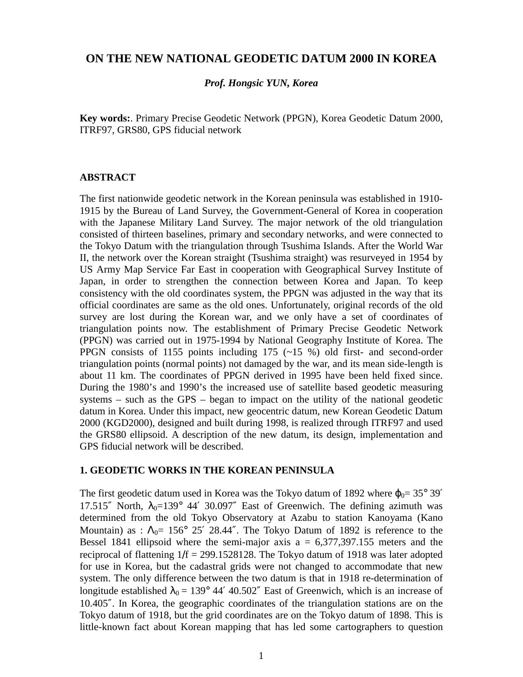# **ON THE NEW NATIONAL GEODETIC DATUM 2000 IN KOREA**

#### *Prof. Hongsic YUN, Korea*

**Key words:**. Primary Precise Geodetic Network (PPGN), Korea Geodetic Datum 2000, ITRF97, GRS80, GPS fiducial network

#### **ABSTRACT**

The first nationwide geodetic network in the Korean peninsula was established in 1910- 1915 by the Bureau of Land Survey, the Government-General of Korea in cooperation with the Japanese Military Land Survey. The major network of the old triangulation consisted of thirteen baselines, primary and secondary networks, and were connected to the Tokyo Datum with the triangulation through Tsushima Islands. After the World War II, the network over the Korean straight (Tsushima straight) was resurveyed in 1954 by US Army Map Service Far East in cooperation with Geographical Survey Institute of Japan, in order to strengthen the connection between Korea and Japan. To keep consistency with the old coordinates system, the PPGN was adjusted in the way that its official coordinates are same as the old ones. Unfortunately, original records of the old survey are lost during the Korean war, and we only have a set of coordinates of triangulation points now. The establishment of Primary Precise Geodetic Network (PPGN) was carried out in 1975-1994 by National Geography Institute of Korea. The PPGN consists of 1155 points including 175 (~15 %) old first- and second-order triangulation points (normal points) not damaged by the war, and its mean side-length is about 11 km. The coordinates of PPGN derived in 1995 have been held fixed since. During the 1980's and 1990's the increased use of satellite based geodetic measuring systems – such as the GPS – began to impact on the utility of the national geodetic datum in Korea. Under this impact, new geocentric datum, new Korean Geodetic Datum 2000 (KGD2000), designed and built during 1998, is realized through ITRF97 and used the GRS80 ellipsoid. A description of the new datum, its design, implementation and GPS fiducial network will be described.

### **1. GEODETIC WORKS IN THE KOREAN PENINSULA**

The first geodetic datum used in Korea was the Tokyo datum of 1892 where  $\varphi_0 = 35^\circ 39'$ 17.515" North,  $\lambda_0 = 139^\circ$  44' 30.097" East of Greenwich. The defining azimuth was determined from the old Tokyo Observatory at Azabu to station Kanoyama (Kano Mountain) as :  $\Lambda_0 = 156^{\circ}$  25' 28.44". The Tokyo Datum of 1892 is reference to the Bessel 1841 ellipsoid where the semi-major axis  $a = 6,377,397.155$  meters and the reciprocal of flattening  $1/f = 299.1528128$ . The Tokyo datum of 1918 was later adopted for use in Korea, but the cadastral grids were not changed to accommodate that new system. The only difference between the two datum is that in 1918 re-determination of longitude established  $\lambda_0 = 139^\circ 44' 40.502''$  East of Greenwich, which is an increase of 10.405″. In Korea, the geographic coordinates of the triangulation stations are on the Tokyo datum of 1918, but the grid coordinates are on the Tokyo datum of 1898. This is little-known fact about Korean mapping that has led some cartographers to question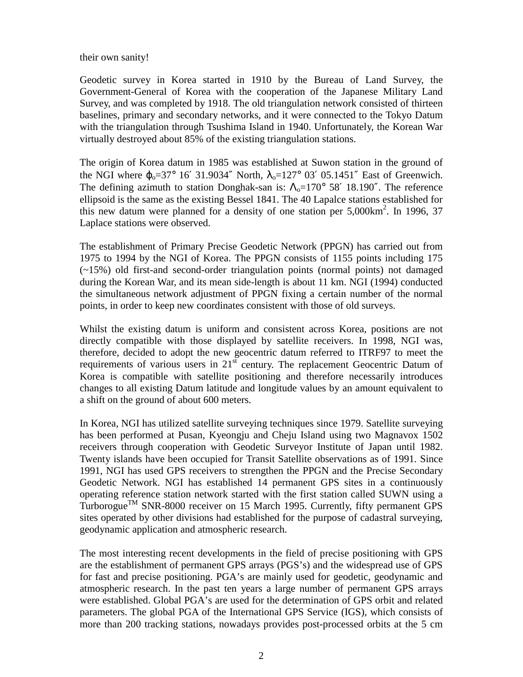#### their own sanity!

Geodetic survey in Korea started in 1910 by the Bureau of Land Survey, the Government-General of Korea with the cooperation of the Japanese Military Land Survey, and was completed by 1918. The old triangulation network consisted of thirteen baselines, primary and secondary networks, and it were connected to the Tokyo Datum with the triangulation through Tsushima Island in 1940. Unfortunately, the Korean War virtually destroyed about 85% of the existing triangulation stations.

The origin of Korea datum in 1985 was established at Suwon station in the ground of the NGI where  $\varphi_0 = 37^\circ 16' 31.9034''$  North,  $\lambda_0 = 127^\circ 03' 05.1451''$  East of Greenwich. The defining azimuth to station Donghak-san is:  $\Lambda_0 = 170^\circ$  58' 18.190". The reference ellipsoid is the same as the existing Bessel 1841. The 40 Lapalce stations established for this new datum were planned for a density of one station per  $5,000 \text{km}^2$ . In 1996, 37 Laplace stations were observed.

The establishment of Primary Precise Geodetic Network (PPGN) has carried out from 1975 to 1994 by the NGI of Korea. The PPGN consists of 1155 points including 175 (~15%) old first-and second-order triangulation points (normal points) not damaged during the Korean War, and its mean side-length is about 11 km. NGI (1994) conducted the simultaneous network adjustment of PPGN fixing a certain number of the normal points, in order to keep new coordinates consistent with those of old surveys.

Whilst the existing datum is uniform and consistent across Korea, positions are not directly compatible with those displayed by satellite receivers. In 1998, NGI was, therefore, decided to adopt the new geocentric datum referred to ITRF97 to meet the requirements of various users in  $21<sup>st</sup>$  century. The replacement Geocentric Datum of Korea is compatible with satellite positioning and therefore necessarily introduces changes to all existing Datum latitude and longitude values by an amount equivalent to a shift on the ground of about 600 meters.

In Korea, NGI has utilized satellite surveying techniques since 1979. Satellite surveying has been performed at Pusan, Kyeongju and Cheju Island using two Magnavox 1502 receivers through cooperation with Geodetic Surveyor Institute of Japan until 1982. Twenty islands have been occupied for Transit Satellite observations as of 1991. Since 1991, NGI has used GPS receivers to strengthen the PPGN and the Precise Secondary Geodetic Network. NGI has established 14 permanent GPS sites in a continuously operating reference station network started with the first station called SUWN using a Turborogue<sup>TM</sup> SNR-8000 receiver on 15 March 1995. Currently, fifty permanent GPS sites operated by other divisions had established for the purpose of cadastral surveying, geodynamic application and atmospheric research.

The most interesting recent developments in the field of precise positioning with GPS are the establishment of permanent GPS arrays (PGS's) and the widespread use of GPS for fast and precise positioning. PGA's are mainly used for geodetic, geodynamic and atmospheric research. In the past ten years a large number of permanent GPS arrays were established. Global PGA's are used for the determination of GPS orbit and related parameters. The global PGA of the International GPS Service (IGS), which consists of more than 200 tracking stations, nowadays provides post-processed orbits at the 5 cm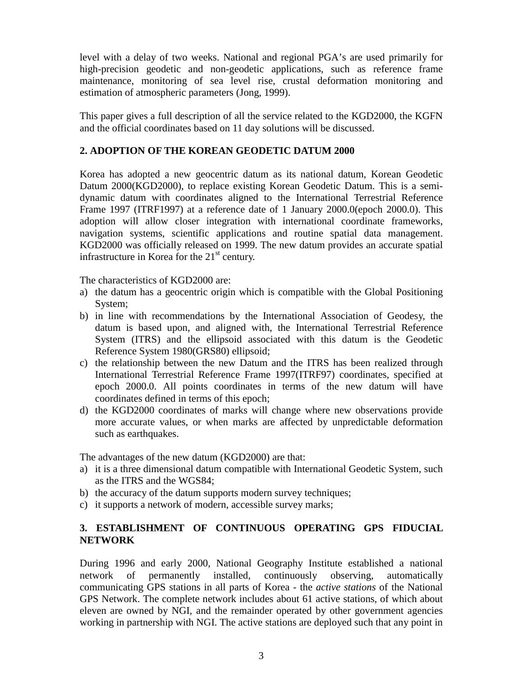level with a delay of two weeks. National and regional PGA's are used primarily for high-precision geodetic and non-geodetic applications, such as reference frame maintenance, monitoring of sea level rise, crustal deformation monitoring and estimation of atmospheric parameters (Jong, 1999).

This paper gives a full description of all the service related to the KGD2000, the KGFN and the official coordinates based on 11 day solutions will be discussed.

# **2. ADOPTION OF THE KOREAN GEODETIC DATUM 2000**

Korea has adopted a new geocentric datum as its national datum, Korean Geodetic Datum 2000(KGD2000), to replace existing Korean Geodetic Datum. This is a semidynamic datum with coordinates aligned to the International Terrestrial Reference Frame 1997 (ITRF1997) at a reference date of 1 January 2000.0(epoch 2000.0). This adoption will allow closer integration with international coordinate frameworks, navigation systems, scientific applications and routine spatial data management. KGD2000 was officially released on 1999. The new datum provides an accurate spatial infrastructure in Korea for the  $21<sup>st</sup>$  century.

The characteristics of KGD2000 are:

- a) the datum has a geocentric origin which is compatible with the Global Positioning System;
- b) in line with recommendations by the International Association of Geodesy, the datum is based upon, and aligned with, the International Terrestrial Reference System (ITRS) and the ellipsoid associated with this datum is the Geodetic Reference System 1980(GRS80) ellipsoid;
- c) the relationship between the new Datum and the ITRS has been realized through International Terrestrial Reference Frame 1997(ITRF97) coordinates, specified at epoch 2000.0. All points coordinates in terms of the new datum will have coordinates defined in terms of this epoch;
- d) the KGD2000 coordinates of marks will change where new observations provide more accurate values, or when marks are affected by unpredictable deformation such as earthquakes.

The advantages of the new datum (KGD2000) are that:

- a) it is a three dimensional datum compatible with International Geodetic System, such as the ITRS and the WGS84;
- b) the accuracy of the datum supports modern survey techniques;
- c) it supports a network of modern, accessible survey marks;

# **3. ESTABLISHMENT OF CONTINUOUS OPERATING GPS FIDUCIAL NETWORK**

During 1996 and early 2000, National Geography Institute established a national network of permanently installed, continuously observing, automatically communicating GPS stations in all parts of Korea - the *active stations* of the National GPS Network. The complete network includes about 61 active stations, of which about eleven are owned by NGI, and the remainder operated by other government agencies working in partnership with NGI. The active stations are deployed such that any point in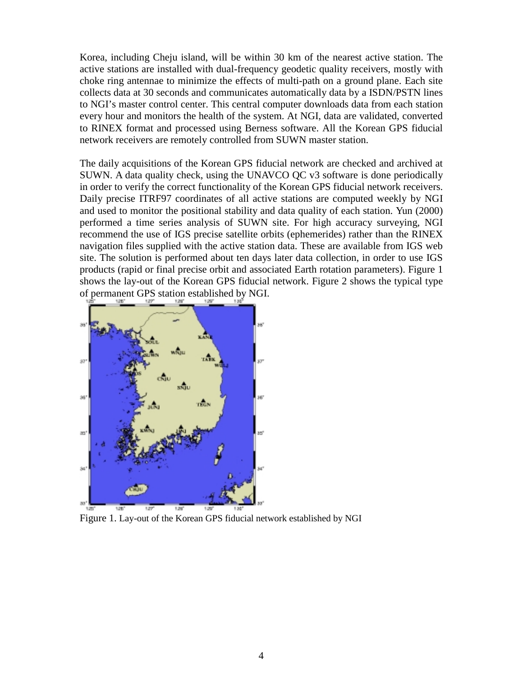Korea, including Cheju island, will be within 30 km of the nearest active station. The active stations are installed with dual-frequency geodetic quality receivers, mostly with choke ring antennae to minimize the effects of multi-path on a ground plane. Each site collects data at 30 seconds and communicates automatically data by a ISDN/PSTN lines to NGI's master control center. This central computer downloads data from each station every hour and monitors the health of the system. At NGI, data are validated, converted to RINEX format and processed using Berness software. All the Korean GPS fiducial network receivers are remotely controlled from SUWN master station.

The daily acquisitions of the Korean GPS fiducial network are checked and archived at SUWN. A data quality check, using the UNAVCO QC v3 software is done periodically in order to verify the correct functionality of the Korean GPS fiducial network receivers. Daily precise ITRF97 coordinates of all active stations are computed weekly by NGI and used to monitor the positional stability and data quality of each station. Yun (2000) performed a time series analysis of SUWN site. For high accuracy surveying, NGI recommend the use of IGS precise satellite orbits (ephemerides) rather than the RINEX navigation files supplied with the active station data. These are available from IGS web site. The solution is performed about ten days later data collection, in order to use IGS products (rapid or final precise orbit and associated Earth rotation parameters). Figure 1 shows the lay-out of the Korean GPS fiducial network. Figure 2 shows the typical type of permanent GPS station established by NGI.



Figure 1. Lay-out of the Korean GPS fiducial network established by NGI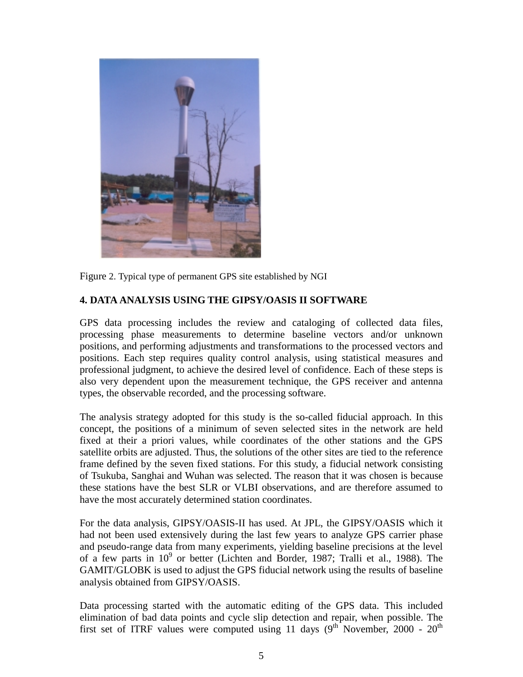

Figure 2. Typical type of permanent GPS site established by NGI

# **4. DATA ANALYSIS USING THE GIPSY/OASIS II SOFTWARE**

GPS data processing includes the review and cataloging of collected data files, processing phase measurements to determine baseline vectors and/or unknown positions, and performing adjustments and transformations to the processed vectors and positions. Each step requires quality control analysis, using statistical measures and professional judgment, to achieve the desired level of confidence. Each of these steps is also very dependent upon the measurement technique, the GPS receiver and antenna types, the observable recorded, and the processing software.

The analysis strategy adopted for this study is the so-called fiducial approach. In this concept, the positions of a minimum of seven selected sites in the network are held fixed at their a priori values, while coordinates of the other stations and the GPS satellite orbits are adjusted. Thus, the solutions of the other sites are tied to the reference frame defined by the seven fixed stations. For this study, a fiducial network consisting of Tsukuba, Sanghai and Wuhan was selected. The reason that it was chosen is because these stations have the best SLR or VLBI observations, and are therefore assumed to have the most accurately determined station coordinates.

For the data analysis, GIPSY/OASIS-II has used. At JPL, the GIPSY/OASIS which it had not been used extensively during the last few years to analyze GPS carrier phase and pseudo-range data from many experiments, yielding baseline precisions at the level of a few parts in 10<sup>9</sup> or better (Lichten and Border, 1987; Tralli et al., 1988). The GAMIT/GLOBK is used to adjust the GPS fiducial network using the results of baseline analysis obtained from GIPSY/OASIS.

Data processing started with the automatic editing of the GPS data. This included elimination of bad data points and cycle slip detection and repair, when possible. The first set of ITRF values were computed using 11 days  $(9^{th}$  November, 2000 - 20<sup>th</sup>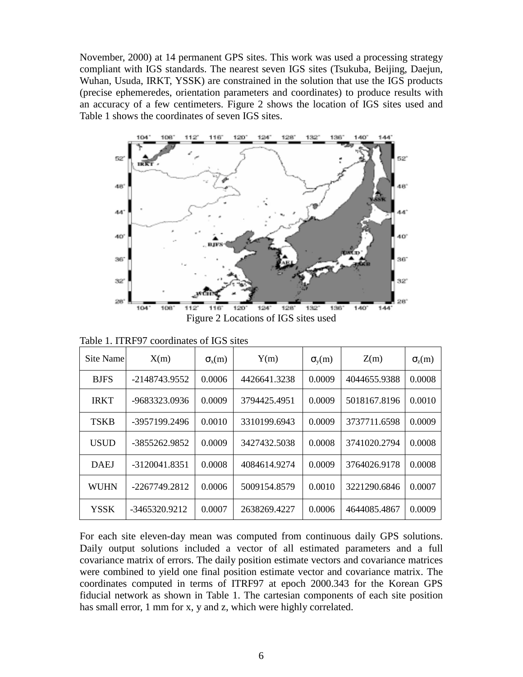November, 2000) at 14 permanent GPS sites. This work was used a processing strategy compliant with IGS standards. The nearest seven IGS sites (Tsukuba, Beijing, Daejun, Wuhan, Usuda, IRKT, YSSK) are constrained in the solution that use the IGS products (precise ephemeredes, orientation parameters and coordinates) to produce results with an accuracy of a few centimeters. Figure 2 shows the location of IGS sites used and Table 1 shows the coordinates of seven IGS sites.



Figure 2 Locations of IGS sites used

| Site Name   | X(m)          | $\sigma_{\rm x}(m)$ | Y(m)         | $\sigma_v(m)$ | Z(m)         | $\sigma_{z}(m)$ |
|-------------|---------------|---------------------|--------------|---------------|--------------|-----------------|
| <b>BJFS</b> | -2148743.9552 | 0.0006              | 4426641.3238 | 0.0009        | 4044655.9388 | 0.0008          |
| <b>IRKT</b> | -9683323.0936 | 0.0009              | 3794425.4951 | 0.0009        | 5018167.8196 | 0.0010          |
| <b>TSKB</b> | -3957199.2496 | 0.0010              | 3310199.6943 | 0.0009        | 3737711.6598 | 0.0009          |
| <b>USUD</b> | -3855262.9852 | 0.0009              | 3427432.5038 | 0.0008        | 3741020.2794 | 0.0008          |
| <b>DAEJ</b> | -3120041.8351 | 0.0008              | 4084614.9274 | 0.0009        | 3764026.9178 | 0.0008          |
| <b>WUHN</b> | -2267749.2812 | 0.0006              | 5009154.8579 | 0.0010        | 3221290.6846 | 0.0007          |
| <b>YSSK</b> | -3465320.9212 | 0.0007              | 2638269.4227 | 0.0006        | 4644085.4867 | 0.0009          |

Table 1. ITRF97 coordinates of IGS sites

For each site eleven-day mean was computed from continuous daily GPS solutions. Daily output solutions included a vector of all estimated parameters and a full covariance matrix of errors. The daily position estimate vectors and covariance matrices were combined to yield one final position estimate vector and covariance matrix. The coordinates computed in terms of ITRF97 at epoch 2000.343 for the Korean GPS fiducial network as shown in Table 1. The cartesian components of each site position has small error, 1 mm for x, y and z, which were highly correlated.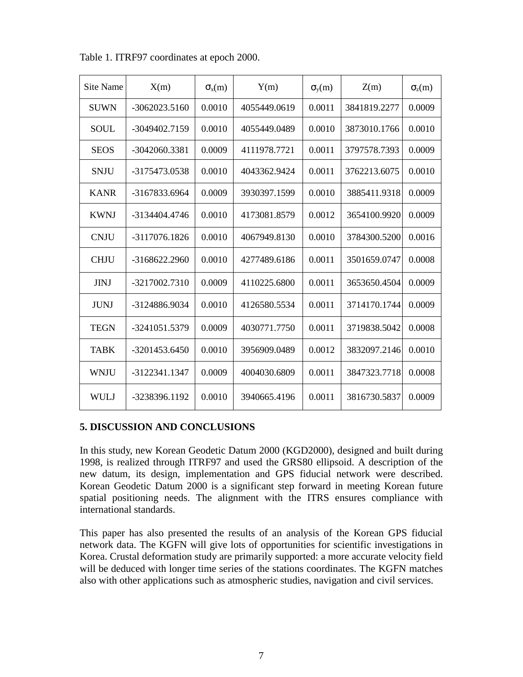| Site Name   | X(m)          | $\sigma_{\rm x}(m)$ | Y(m)         | $\sigma_v(m)$ | Z(m)         | $\sigma_{z}(m)$ |
|-------------|---------------|---------------------|--------------|---------------|--------------|-----------------|
| <b>SUWN</b> | -3062023.5160 | 0.0010              | 4055449.0619 | 0.0011        | 3841819.2277 | 0.0009          |
| <b>SOUL</b> | -3049402.7159 | 0.0010              | 4055449.0489 | 0.0010        | 3873010.1766 | 0.0010          |
| <b>SEOS</b> | -3042060.3381 | 0.0009              | 4111978.7721 | 0.0011        | 3797578.7393 | 0.0009          |
| <b>SNJU</b> | -3175473.0538 | 0.0010              | 4043362.9424 | 0.0011        | 3762213.6075 | 0.0010          |
| <b>KANR</b> | -3167833.6964 | 0.0009              | 3930397.1599 | 0.0010        | 3885411.9318 | 0.0009          |
| <b>KWNJ</b> | -3134404.4746 | 0.0010              | 4173081.8579 | 0.0012        | 3654100.9920 | 0.0009          |
| <b>CNJU</b> | -3117076.1826 | 0.0010              | 4067949.8130 | 0.0010        | 3784300.5200 | 0.0016          |
| <b>CHJU</b> | -3168622.2960 | 0.0010              | 4277489.6186 | 0.0011        | 3501659.0747 | 0.0008          |
| <b>JINJ</b> | -3217002.7310 | 0.0009              | 4110225.6800 | 0.0011        | 3653650.4504 | 0.0009          |
| <b>JUNJ</b> | -3124886.9034 | 0.0010              | 4126580.5534 | 0.0011        | 3714170.1744 | 0.0009          |
| <b>TEGN</b> | -3241051.5379 | 0.0009              | 4030771.7750 | 0.0011        | 3719838.5042 | 0.0008          |
| <b>TABK</b> | -3201453.6450 | 0.0010              | 3956909.0489 | 0.0012        | 3832097.2146 | 0.0010          |
| <b>WNJU</b> | -3122341.1347 | 0.0009              | 4004030.6809 | 0.0011        | 3847323.7718 | 0.0008          |
| <b>WULJ</b> | -3238396.1192 | 0.0010              | 3940665.4196 | 0.0011        | 3816730.5837 | 0.0009          |

Table 1. ITRF97 coordinates at epoch 2000.

### **5. DISCUSSION AND CONCLUSIONS**

In this study, new Korean Geodetic Datum 2000 (KGD2000), designed and built during 1998, is realized through ITRF97 and used the GRS80 ellipsoid. A description of the new datum, its design, implementation and GPS fiducial network were described. Korean Geodetic Datum 2000 is a significant step forward in meeting Korean future spatial positioning needs. The alignment with the ITRS ensures compliance with international standards.

This paper has also presented the results of an analysis of the Korean GPS fiducial network data. The KGFN will give lots of opportunities for scientific investigations in Korea. Crustal deformation study are primarily supported: a more accurate velocity field will be deduced with longer time series of the stations coordinates. The KGFN matches also with other applications such as atmospheric studies, navigation and civil services.